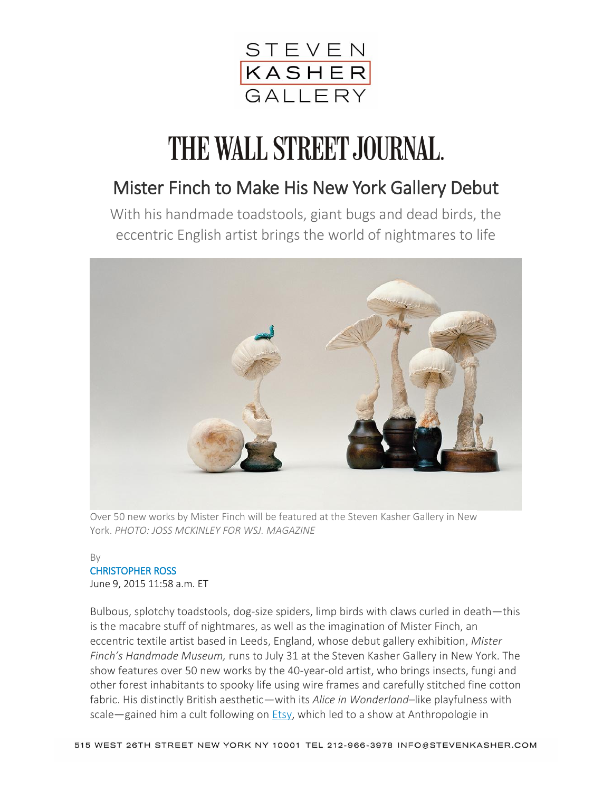

## THE WALL STREET JOURNAL.

## Mister Finch to Make His New York Gallery Debut

With his handmade toadstools, giant bugs and dead birds, the eccentric English artist brings the world of nightmares to life



Over 50 new works by Mister Finch will be featured at the Steven Kasher Gallery in New York. *PHOTO: JOSS MCKINLEY FOR WSJ. MAGAZINE*

## By CHRISTOPHER ROSS

June 9, 2015 11:58 a.m. ET

Bulbous, splotchy toadstools, dog-size spiders, limp birds with claws curled in death—this is the macabre stuff of nightmares, as well as the imagination of Mister Finch, an eccentric textile artist based in Leeds, England, whose debut gallery exhibition, *Mister Finch's Handmade Museum,* runs to July 31 at the Steven Kasher Gallery in New York. The show features over 50 new works by the 40-year-old artist, who brings insects, fungi and other forest inhabitants to spooky life using wire frames and carefully stitched fine cotton fabric. His distinctly British aesthetic—with its *Alice in Wonderland*–like playfulness with scale—gained him a cult following on **Etsy**, which led to a show at Anthropologie in